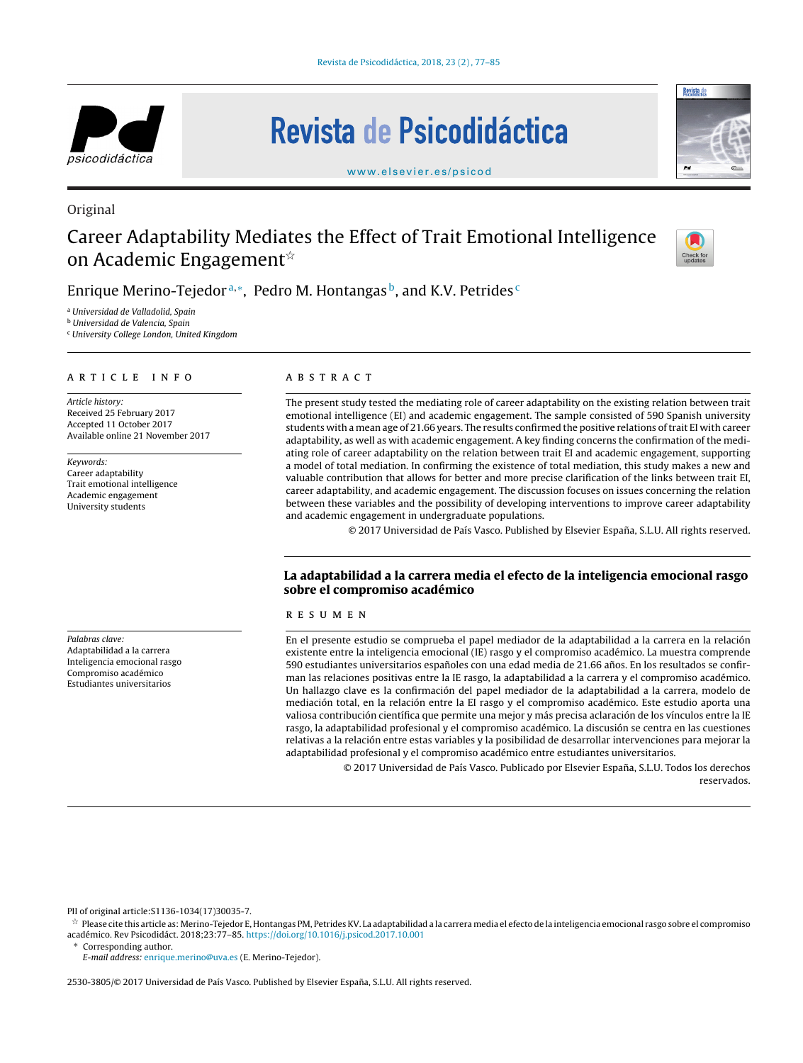

# Revista de Psicodidáctica



[www.elsevier.es/psicod](http://www.elsevier.es/psicod)

### Original

## Career Adaptability Mediates the Effect of Trait Emotional Intelligence on Academic Engagement $^{\scriptscriptstyle \star}$



Enrique Merino-Tejedor<sup>a,\*</sup>, Pedro M. Hontangas<sup>b</sup>, and K.V. Petrides<sup>c</sup>

<sup>a</sup> Universidad de Valladolid, Spain

<sup>b</sup> Universidad de Valencia, Spain

<sup>c</sup> University College London, United Kingdom

#### a r t i c l e i n f o

Article history: Received 25 February 2017 Accepted 11 October 2017 Available online 21 November 2017

Keywords: Career adaptability Trait emotional intelligence Academic engagement University students

Palabras clave: Adaptabilidad a la carrera Inteligencia emocional rasgo Compromiso académico Estudiantes universitarios

#### A B S T R A C T

The present study tested the mediating role of career adaptability on the existing relation between trait emotional intelligence (EI) and academic engagement. The sample consisted of 590 Spanish university students with a mean age of 21.66 years. The results confirmed the positive relations oftrait EI with career adaptability, as well as with academic engagement. A key finding concerns the confirmation of the mediating role of career adaptability on the relation between trait EI and academic engagement, supporting a model of total mediation. In confirming the existence of total mediation, this study makes a new and valuable contribution that allows for better and more precise clarification of the links between trait EI, career adaptability, and academic engagement. The discussion focuses on issues concerning the relation between these variables and the possibility of developing interventions to improve career adaptability and academic engagement in undergraduate populations.

© 2017 Universidad de País Vasco. Published by Elsevier España, S.L.U. All rights reserved.

#### **La adaptabilidad a la carrera media el efecto de la inteligencia emocional rasgo sobre el compromiso académico**

#### r e s u m e n

En el presente estudio se comprueba el papel mediador de la adaptabilidad a la carrera en la relación existente entre la inteligencia emocional (IE) rasgo y el compromiso académico. La muestra comprende 590 estudiantes universitarios españoles con una edad media de 21.66 años. En los resultados se confirman las relaciones positivas entre la IE rasgo, la adaptabilidad a la carrera y el compromiso académico. Un hallazgo clave es la confirmación del papel mediador de la adaptabilidad a la carrera, modelo de mediación total, en la relación entre la EI rasgo y el compromiso académico. Este estudio aporta una valiosa contribución científica que permite una mejor y más precisa aclaración de los vínculos entre la IE rasgo, la adaptabilidad profesional y el compromiso académico. La discusión se centra en las cuestiones relativas a la relación entre estas variables y la posibilidad de desarrollar intervenciones para mejorar la adaptabilidad profesional y el compromiso académico entre estudiantes universitarios.

> © 2017 Universidad de País Vasco. Publicado por Elsevier España, S.L.U. Todos los derechos reservados.

PII of original article:S1136-1034(17)30035-7.

 $^\star$  Please cite this article as: Merino-Tejedor E, Hontangas PM, Petrides KV. La adaptabilidad a la carrera media el efecto de la inteligencia emocional rasgo sobre el compromiso académico. Rev Psicodidáct. 2018;23:77–85. <https://doi.org/10.1016/j.psicod.2017.10.001>

Corresponding author.

E-mail address: [enrique.merino@uva.es](mailto:enrique.merino@uva.es) (E. Merino-Tejedor).

2530-3805/© 2017 Universidad de País Vasco. Published by Elsevier España, S.L.U. All rights reserved.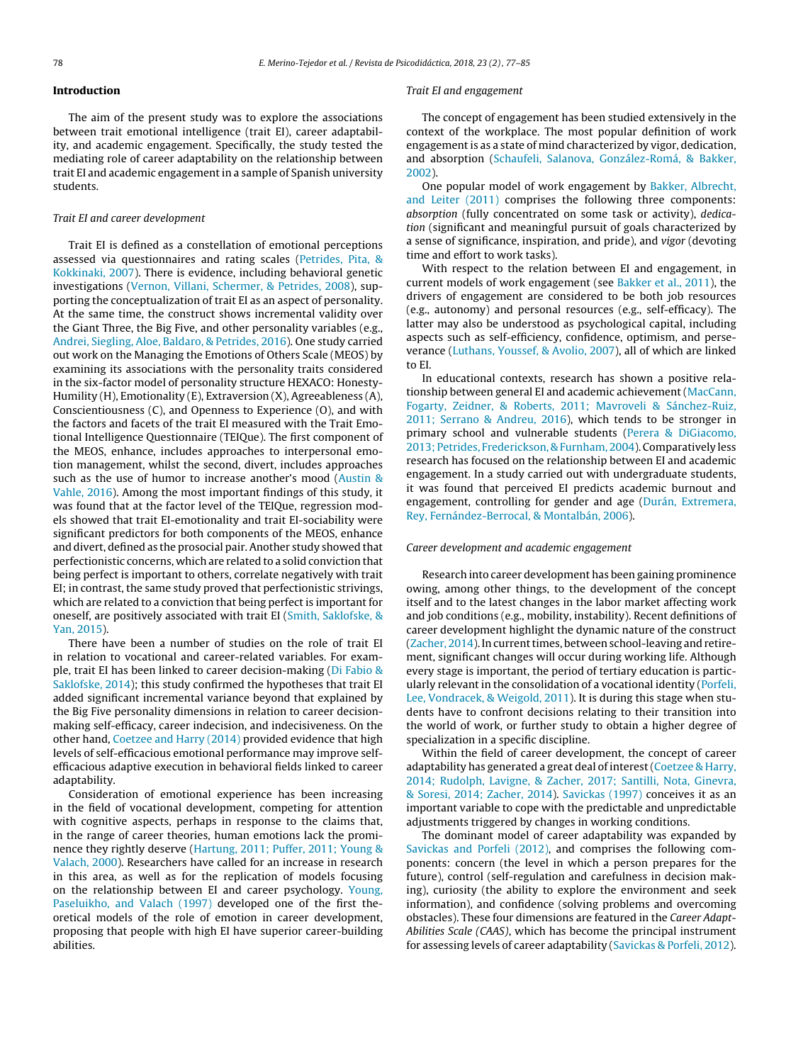#### **Introduction**

The aim of the present study was to explore the associations between trait emotional intelligence (trait EI), career adaptability, and academic engagement. Specifically, the study tested the mediating role of career adaptability on the relationship between trait EI and academic engagementin a sample of Spanish university students.

#### Trait EI and career development

Trait EI is defined as a constellation of emotional perceptions assessed via questionnaires and rating scales ([Petrides,](#page-7-0) Pita, & Kokkinaki, 2007). There is evidence, including behavioral genetic investigations (Vernon, Villani, [Schermer,](#page-7-0) & Petrides, 2008), supporting the conceptualization of trait EI as an aspect of personality. At the same time, the construct shows incremental validity over the Giant Three, the Big Five, and other personality variables (e.g., Andrei, Siegling, Aloe, Baldaro, & [Petrides,](#page-7-0) 2016). One study carried out work on the Managing the Emotions of Others Scale (MEOS) by examining its associations with the personality traits considered in the six-factor model of personality structure HEXACO: Honesty-Humility (H), Emotionality (E), Extraversion (X), Agreeableness (A), Conscientiousness (C), and Openness to Experience (O), and with the factors and facets of the trait EI measured with the Trait Emotional Intelligence Questionnaire (TEIQue). The first component of the MEOS, enhance, includes approaches to interpersonal emotion management, whilst the second, divert, includes approaches such as the use of humor to increase another's mood ([Austin](#page-7-0) & Vahle, 2016). Among the most important findings of this study, it was found that at the factor level of the TEIQue, regression models showed that trait EI-emotionality and trait EI-sociability were significant predictors for both components of the MEOS, enhance and divert, defined as the prosocial pair. Another study showed that perfectionistic concerns, which are related to a solid conviction that being perfect is important to others, correlate negatively with trait EI; in contrast, the same study proved that perfectionistic strivings, which are related to a conviction that being perfect is important for oneself, are positively associated with trait EI (Smith, [Saklofske,](#page-7-0) & Yan, 2015).

There have been a number of studies on the role of trait EI in relation to vocational and career-related variables. For example, trait EI has been linked to career decision-making (Di Fabio & Saklofske, 2014); this study confirmed the hypotheses that trait EI added significant incremental variance beyond that explained by the Big Five personality dimensions in relation to career decisionmaking self-efficacy, career indecision, and indecisiveness. On the other hand, [Coetzee](#page-7-0) and Harry (2014) provided evidence that high levels of self-efficacious emotional performance may improve selfefficacious adaptive execution in behavioral fields linked to career adaptability.

Consideration of emotional experience has been increasing in the field of vocational development, competing for attention with cognitive aspects, perhaps in response to the claims that, in the range of career theories, human emotions lack the prominence they rightly deserve [\(Hartung,](#page-7-0) 2011; Puffer, 2011; Young & Valach, 2000). Researchers have called for an increase in research in this area, as well as for the replication of models focusing on the relationship between EI and career psychology. Young, Paseluikho, and Valach (1997) developed one of the first theoretical models of the role of emotion in career development, proposing that people with high EI have superior career-building abilities.

#### Trait EI and engagement

The concept of engagement has been studied extensively in the context of the workplace. The most popular definition of work engagement is as a state of mind characterized by vigor, dedication, and absorption (Schaufeli, Salanova, [González-Romá,](#page-7-0) & Bakker, 2002).

One popular model of work engagement by Bakker, [Albrecht,](#page-7-0) and Leiter (2011) comprises the following three components: absorption (fully concentrated on some task or activity), dedication (significant and meaningful pursuit of goals characterized by a sense of significance, inspiration, and pride), and vigor (devoting time and effort to work tasks).

With respect to the relation between EI and engagement, in current models of work engagement (see [Bakker](#page-7-0) et al., 2011), the drivers of engagement are considered to be both job resources (e.g., autonomy) and personal resources (e.g., self-efficacy). The latter may also be understood as psychological capital, including aspects such as self-efficiency, confidence, optimism, and perseverance ([Luthans,](#page-7-0) Youssef, & Avolio, 2007), all of which are linked to EI.

In educational contexts, research has shown a positive relationship between general EI and academic achievement ([MacCann,](#page-7-0) Fogarty, Zeidner, & Roberts, 2011; Mavroveli & Sánchez-Ruiz, 2011; Serrano & Andreu, 2016), which tends to be stronger in primary school and vulnerable students (Perera & [DiGiacomo,](#page-7-0) 2013; Petrides, Frederickson, & Furnham, 2004). Comparatively less research has focused on the relationship between EI and academic engagement. In a study carried out with undergraduate students, it was found that perceived EI predicts academic burnout and engagement, controlling for gender and age (Durán, [Extremera,](#page-7-0) Rey, Fernández-Berrocal, & Montalbán, 2006).

#### Career development and academic engagement

Research into career development has been gaining prominence owing, among other things, to the development of the concept itself and to the latest changes in the labor market affecting work and job conditions (e.g., mobility, instability). Recent definitions of career development highlight the dynamic nature of the construct [\(Zacher,](#page-8-0) 2014). In current times, between school-leaving and retirement, significant changes will occur during working life. Although [every](#page-7-0) stage is important, the period of tertiary education is particularly relevant in the consolidation of a vocational identity [\(Porfeli,](#page-7-0) Lee, Vondracek, & Weigold, 2011). It is during this stage when students have to confront decisions relating to their transition into the world of work, or further study to obtain a higher degree of specialization in a specific discipline.

Within the field of career development, the concept of career adaptability has generated a great deal of interest [\(Coetzee](#page-7-0) & Harry, 2014; Rudolph, Lavigne, & Zacher, 2017; Santilli, Nota, Ginevra, & Soresi, 2014; Zacher, 2014). [Savickas](#page-7-0) (1997) conceives it as an important variable to cope with the predictable and unpredictable adjustments triggered by changes in working conditions.

The dominant model of career adaptability was expanded by [Savickas](#page-7-0) and Porfeli (2012), and comprises the following components: concern (the level in which a person prepares for the future), control (self-regulation and carefulness in decision making), [curiosity](#page-7-0) (the ability to explore the environment and seek information), and confidence (solving problems and overcoming obstacles). These four dimensions are featured in the Career Adapt-Abilities Scale (CAAS), which has become the principal instrument for assessing levels of career adaptability [\(Savickas](#page-7-0) & Porfeli, 2012).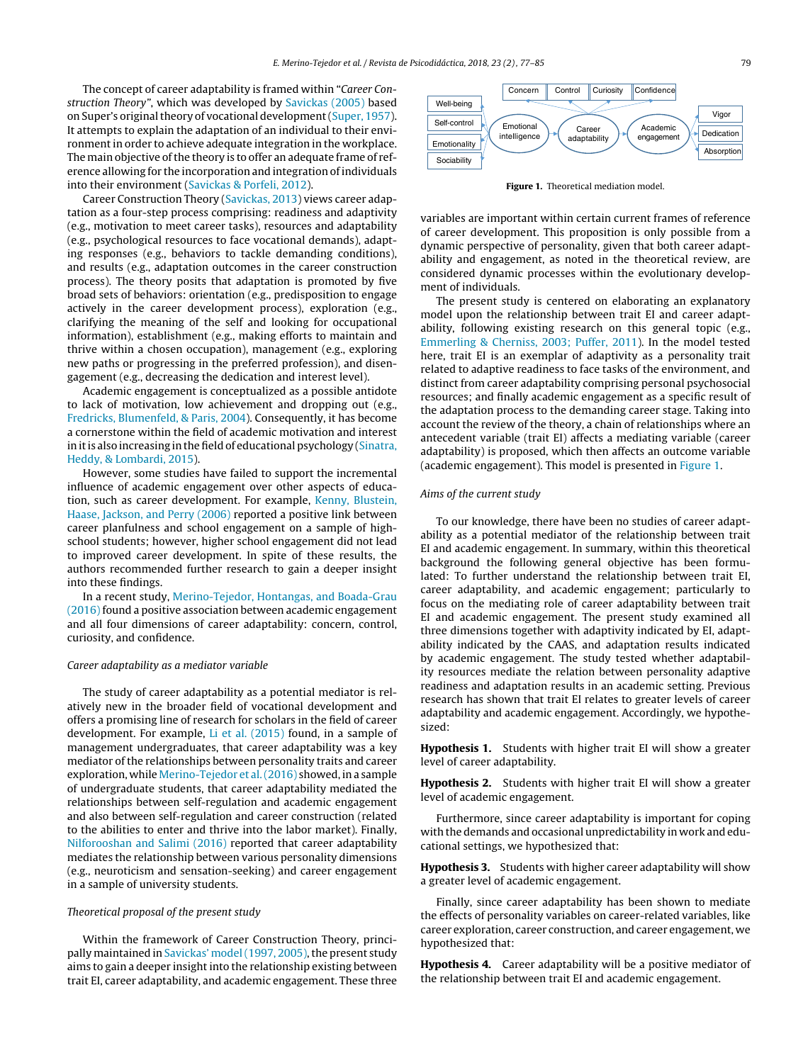<span id="page-2-0"></span>The concept of career adaptability is framed within "Career Construction Theory", which was developed by [Savickas](#page-7-0) (2005) based on Super's original theory of vocational development (Super, [1957\).](#page-7-0) It attempts to explain the adaptation of an individual to their environment in order to achieve adequate integration in the workplace. The main objective of the theory is to offer an adequate frame of reference allowing for the incorporation and integration of individuals into their environment [\(Savickas](#page-7-0) & Porfeli, 2012).

Career Construction Theory [\(Savickas,](#page-7-0) 2013) views career adaptation as a four-step process comprising: readiness and adaptivity (e.g., motivation to meet career tasks), resources and adaptability (e.g., psychological resources to face vocational demands), adapting responses (e.g., behaviors to tackle demanding conditions), and results (e.g., adaptation outcomes in the career construction process). The theory posits that adaptation is promoted by five broad sets of behaviors: orientation (e.g., predisposition to engage actively in the career development process), exploration (e.g., clarifying the meaning of the self and looking for occupational information), establishment (e.g., making efforts to maintain and thrive within a chosen occupation), management (e.g., exploring new paths or progressing in the preferred profession), and disengagement (e.g., decreasing the dedication and interest level).

Academic engagement is conceptualized as a possible antidote to lack of motivation, low achievement and dropping out (e.g., Fredricks, [Blumenfeld,](#page-7-0) & Paris, 2004). Consequently, it has become a cornerstone within the field of academic motivation and interest in it is also increasing in the field of educational psychology [\(Sinatra,](#page-7-0) Heddy, & Lombardi, 2015).

However, some studies have failed to support the incremental influence of academic engagement over other aspects of education, such as career development. For example, Kenny, [Blustein,](#page-7-0) Haase, Jackson, and Perry (2006) reported a positive link between career planfulness and school engagement on a sample of highschool students; however, higher school engagement did not lead to improved career development. In spite of these results, the authors recommended further research to gain a deeper insight into these findings.

In a recent study, [Merino-Tejedor,](#page-7-0) Hontangas, and Boada-Grau  $(2016)$  found a positive association between academic engagement and all four dimensions of career adaptability: concern, control, curiosity, and confidence.

#### Career adaptability as a mediator variable

The study of career adaptability as a potential mediator is relatively new in the broader field of vocational development and offers a promising line of research for scholars in the field of career development. For example, Li et al. [\(2015\)](#page-7-0) found, in a sample of management undergraduates, that career adaptability was a key mediator of the relationships between personality traits and career exploration, while [Merino-Tejedor](#page-7-0) et al. (2016) showed, in a sample of undergraduate students, that career adaptability mediated the relationships between self-regulation and academic engagement and also between self-regulation and career construction (related to the abilities to enter and thrive into the labor market). Finally, [Nilforooshan](#page-7-0) and Salimi (2016) reported that career adaptability mediates the relationship between various personality dimensions (e.g., neuroticism and sensation-seeking) and career engagement in a sample of university students.

#### Theoretical proposal of the present study

Within the framework of Career Construction Theory, principally maintained in Savickas' model (1997, 2005), the present study aims to gain a deeper insight into the relationship existing between trait EI, career adaptability, and academic engagement. These three



**Figure 1.** Theoretical mediation model.

variables are important within certain current frames of reference of career development. This proposition is only possible from a dynamic perspective of personality, given that both career adaptability and engagement, as noted in the theoretical review, are considered dynamic processes within the evolutionary development of individuals.

The present study is centered on elaborating an explanatory model upon the relationship between trait EI and career adaptability, following existing research on this general topic (e.g., [Emmerling](#page-7-0) & Cherniss, 2003; Puffer, 2011). In the model tested here, trait EI is an exemplar of adaptivity as a personality trait related to adaptive readiness to face tasks of the environment, and distinct from career adaptability comprising personal psychosocial resources; and finally academic engagement as a specific result of the adaptation process to the demanding career stage. Taking into account the review of the theory, a chain of relationships where an antecedent variable (trait EI) affects a mediating variable (career adaptability) is proposed, which then affects an outcome variable (academic engagement). This model is presented in Figure 1.

#### Aims of the current study

To our knowledge, there have been no studies of career adaptability as a potential mediator of the relationship between trait EI and academic engagement. In summary, within this theoretical background the following general objective has been formulated: To further understand the relationship between trait EI, career adaptability, and academic engagement; particularly to focus on the mediating role of career adaptability between trait EI and academic engagement. The present study examined all three dimensions together with adaptivity indicated by EI, adaptability indicated by the CAAS, and adaptation results indicated by academic engagement. The study tested whether adaptability resources mediate the relation between personality adaptive readiness and adaptation results in an academic setting. Previous research has shown that trait EI relates to greater levels of career adaptability and academic engagement. Accordingly, we hypothesized:

**Hypothesis 1.** Students with higher trait EI will show a greater level of career adaptability.

**Hypothesis 2.** Students with higher trait EI will show a greater level of academic engagement.

Furthermore, since career adaptability is important for coping with the demands and occasional unpredictability in work and educational settings, we hypothesized that:

**Hypothesis 3.** Students with higher career adaptability will show a greater level of academic engagement.

Finally, since career adaptability has been shown to mediate the effects of personality variables on career-related variables, like career exploration, career construction, and career engagement, we hypothesized that:

**Hypothesis 4.** Career adaptability will be a positive mediator of the relationship between trait EI and academic engagement.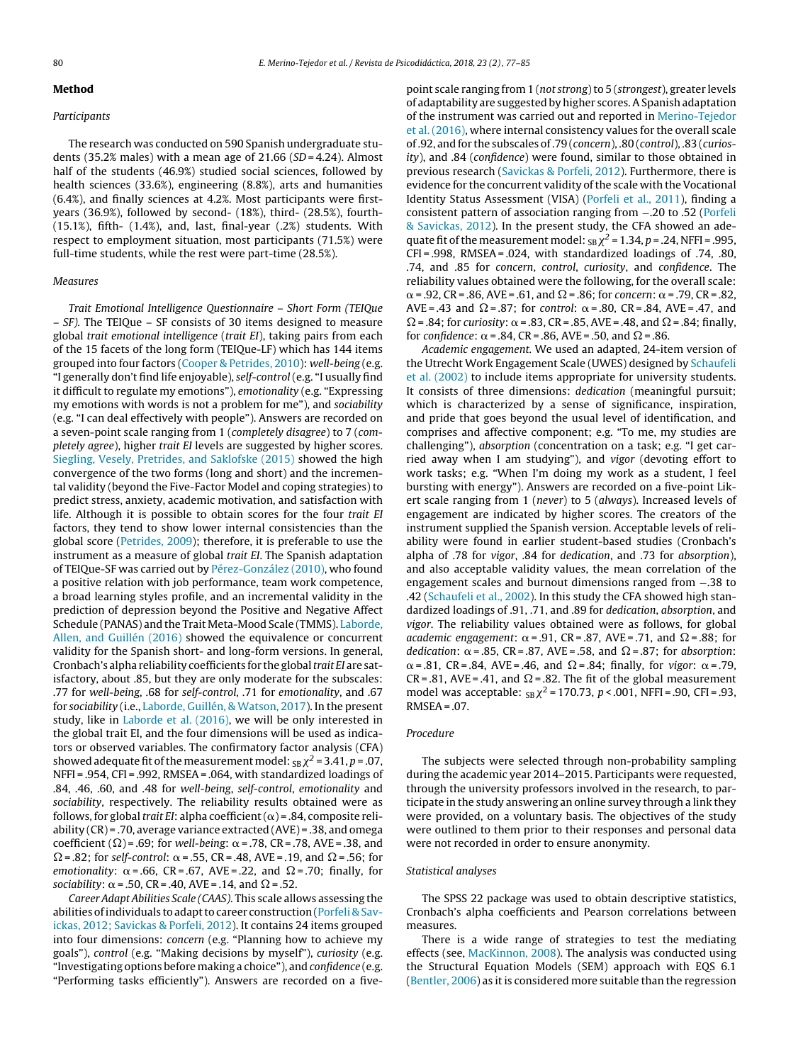#### Participants

The research was conducted on 590 Spanish undergraduate students (35.2% males) with a mean age of  $21.66$  (SD = 4.24). Almost half of the students (46.9%) studied social sciences, followed by health sciences (33.6%), engineering (8.8%), arts and humanities (6.4%), and finally sciences at 4.2%. Most participants were firstyears (36.9%), followed by second- (18%), third- (28.5%), fourth- (15.1%), fifth- (1.4%), and, last, final-year (.2%) students. With respect to employment situation, most participants (71.5%) were full-time students, while the rest were part-time (28.5%).

#### Measures

Trait Emotional Intelligence Questionnaire – Short Form (TEIQue – SF). The TEIQue – SF consists of 30 items designed to measure global trait emotional intelligence (trait EI), taking pairs from each of the 15 facets of the long form (TEIQue-LF) which has 144 items grouped into four factors [\(Cooper](#page-7-0) [&](#page-7-0) [Petrides,](#page-7-0) [2010\):](#page-7-0) well-being (e.g. "I generally don't find life enjoyable), self-control(e.g. "I usually find it difficult to regulate my emotions"), emotionality (e.g. "Expressing my emotions with words is not a problem for me"), and sociability (e.g. "I can deal effectively with people"). Answers are recorded on a seven-point scale ranging from 1 (completely disagree) to 7 (completely agree), higher trait EI levels are suggested by higher scores. [Siegling,](#page-7-0) [Vesely,](#page-7-0) [Pretrides,](#page-7-0) [and](#page-7-0) [Saklofske](#page-7-0) [\(2015\)](#page-7-0) showed the high convergence of the two forms (long and short) and the incremental validity (beyond the Five-Factor Model and coping strategies) to predict stress, anxiety, academic motivation, and satisfaction with life. Although it is possible to obtain scores for the four trait EI factors, they tend to show lower internal consistencies than the global score [\(Petrides,](#page-7-0) [2009\);](#page-7-0) therefore, it is preferable to use the instrument as a measure of global trait EI. The Spanish adaptation of TEIQue-SF was carried out by [Pérez-González](#page-7-0) [\(2010\),](#page-7-0) who found a positive relation with job performance, team work competence, a broad learning styles profile, and an incremental validity in the prediction of depression beyond the Positive and Negative Affect Schedule (PANAS) and the Trait Meta-Mood Scale (TMMS). [Laborde,](#page-7-0) [Allen,](#page-7-0) [and](#page-7-0) [Guillén](#page-7-0) [\(2016\)](#page-7-0) showed the equivalence or concurrent validity for the Spanish short- and long-form versions. In general, Cronbach's alpha reliability coefficients for the global trait EI are satisfactory, about .85, but they are only moderate for the subscales: .77 for well-being, .68 for self-control, .71 for emotionality, and .67 for sociability (i.e., [Laborde,](#page-7-0) [Guillén,](#page-7-0) [&](#page-7-0) [Watson,](#page-7-0) [2017\).](#page-7-0) In the present study, like in [Laborde](#page-7-0) et [al.](#page-7-0) [\(2016\),](#page-7-0) we will be only interested in the global trait EI, and the four dimensions will be used as indicators or observed variables. The confirmatory factor analysis (CFA) showed adequate fit of the measurement model: <sub>SB</sub>  $\chi^2$  = 3.41,  $p$  = .07, NFFI = .954, CFI = .992, RMSEA= .064, with standardized loadings of .84, .46, .60, and .48 for well-being, self-control, emotionality and sociability, respectively. The reliability results obtained were as follows, for global trait EI: alpha coefficient ( $\alpha$  ) = .84, composite reliability  $(CR)$  = .70, average variance extracted  $(AVE)$  = .38, and omega coefficient ( $\Omega$ )= .69; for well-being:  $\alpha$  = .78, CR = .78, AVE = .38, and  $\Omega$  = .82; for *self-control*:  $\alpha$  = .55, CR = .48, AVE = .19, and  $\Omega$  = .56; for emotionality:  $\alpha$  = .66, CR = .67, AVE = .22, and  $\,\Omega$  = .70; finally, for sociability:  $\alpha$  = .50, CR = .40, AVE = .14, and  $\Omega$  = .52.

Career Adapt Abilities Scale (CAAS). This scale allows assessing the abilities of individuals to adapt to career construction (Porfeli & Savickas, 2012; Savickas & Porfeli, 2012). It contains 24 items grouped into four dimensions: concern (e.g. "Planning how to achieve my goals"), control (e.g. "Making decisions by myself"), curiosity (e.g. "Investigating options before making a choice"), and confidence (e.g. "Performing tasks efficiently"). Answers are recorded on a fivepoint scale ranging from 1 (not strong) to 5 (strongest), greater levels of adaptability are suggested by higher scores.ASpanish adaptation of the instrument was carried out and reported in [Merino-Tejedor](#page-7-0) et al. (2016), where internal consistency values for the overall scale of.92, and for the subscales of.79 (concern), .80 (control), .83 (curiosity), and .84 (confidence) were found, similar to those obtained in previous research [\(Savickas](#page-7-0) & Porfeli, 2012). Furthermore, there is evidence for the concurrent validity of the scale with the Vocational Identity Status Assessment (VISA) [\(Porfeli](#page-7-0) et al., 2011), finding a consistent pattern of association ranging from −.20 to .52 [\(Porfeli](#page-7-0) & Savickas, 2012). In the present study, the CFA showed an adequate fit of the measurement model:  $_{SB}$   $\chi^2$  = 1.34,  $p$  = .24, NFFI = .995, CFI = .998, RMSEA= .024, with standardized loadings of .74, .80, .74, and .85 for concern, control, curiosity, and confidence. The reliability values obtained were the following, for the overall scale:  $\alpha$  = .92, CR = .86, AVE = .61, and  $\Omega$  = .86; for concern:  $\alpha$  = .79, CR = .82,  $AVE = .43$  and  $\Omega = .87$ ; for control:  $\alpha = .80$ , CR=.84, AVE=.47, and  $\Omega$  = .84; for curiosity:  $\alpha$  = .83, CR = .85, AVE = .48, and  $\Omega$  = .84; finally, for confidence:  $\alpha$  = .84, CR = .86, AVE = .50, and  $\Omega$  = .86.

Academic engagement. We used an adapted, 24-item version of the Utrecht Work Engagement Scale (UWES) designed by [Schaufeli](#page-7-0) et al. (2002) to include items appropriate for university students. It consists of three dimensions: dedication (meaningful pursuit; which is characterized by a sense of significance, inspiration, and pride that goes beyond the usual level of identification, and comprises and affective component; e.g. "To me, my studies are challenging"), absorption (concentration on a task; e.g. "I get carried away when I am studying"), and vigor (devoting effort to work tasks; e.g. "When I'm doing my work as a student, I feel bursting with energy"). Answers are recorded on a five-point Likert scale ranging from 1 (never) to 5 (always). Increased levels of engagement are indicated by higher scores. The creators of the instrument supplied the Spanish version. Acceptable levels of reliability were found in earlier student-based studies (Cronbach's alpha of .78 for vigor, .84 for dedication, and .73 for absorption), and also acceptable validity values, the mean correlation of the engagement scales and burnout dimensions ranged from −.38 to .42 ([Schaufeli](#page-7-0) et al., 2002). In this study the CFA showed high standardized loadings of .91, .71, and .89 for dedication, absorption, and vigor. The reliability values obtained were as follows, for global academic engagement:  $\alpha$  = .91, CR = .87, AVE = .71, and  $\Omega$  = .88; for dedication:  $\alpha$  = .85, CR = .87, AVE = .58, and  $\Omega$  = .87; for absorption:  $\alpha$  = .81, CR = .84, AVE = .46, and  $\Omega$  = .84; finally, for *vigor*:  $\alpha$  = .79,  $CR = .81$ , AVE = .41, and  $\Omega = .82$ . The fit of the global measurement model was acceptable:  $_{SB}\chi^2$  = 170.73, p < .001, NFFI = .90, CFI = .93, RMSEA= .07.

#### Procedure

The subjects were selected through non-probability sampling during the academic year 2014–2015. Participants were requested, through the university professors involved in the research, to participate in the study answering an online survey through a link they were provided, on a voluntary basis. The objectives of the study were outlined to them prior to their responses and personal data were not recorded in order to ensure anonymity.

#### Statistical analyses

The SPSS 22 package was used to obtain descriptive statistics, Cronbach's alpha [coefficients](#page-7-0) and Pearson correlations between measures.

There is a wide range of strategies to test the mediating effects (see, [MacKinnon,](#page-7-0) 2008). The analysis was conducted using the Structural Equation Models (SEM) approach with EQS 6.1 [\(Bentler,](#page-7-0) 2006) as itis considered more suitable than the regression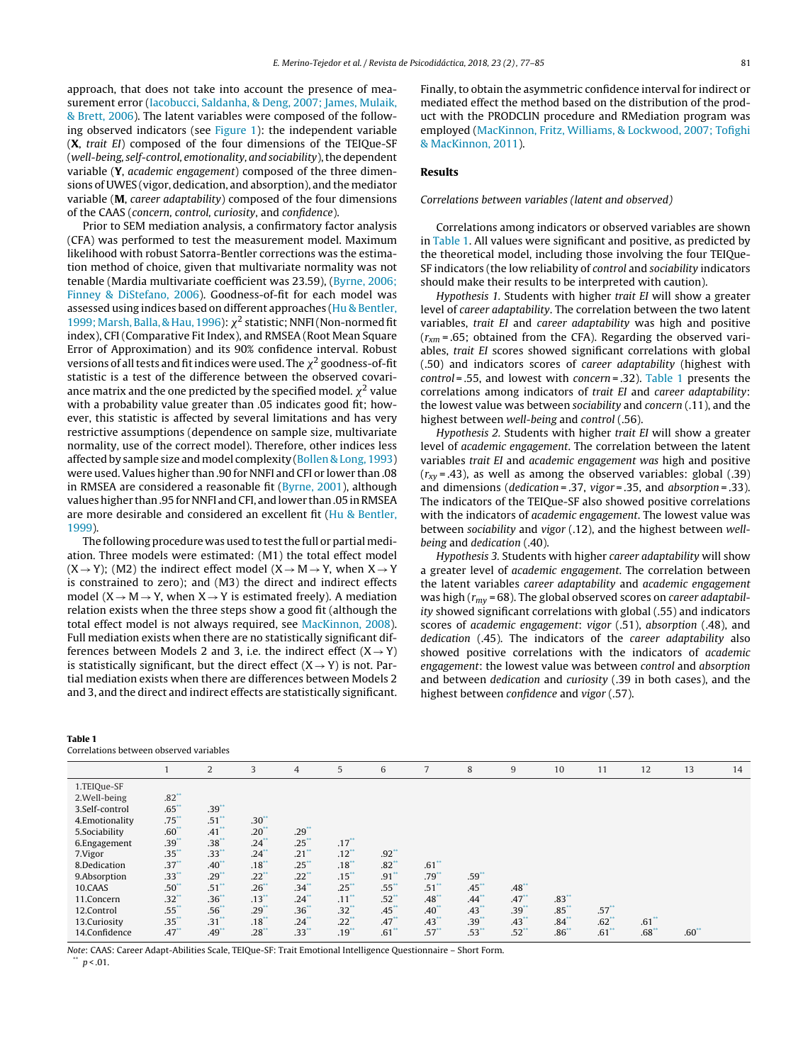approach, that does not take into account the presence of measurement error ([Iacobucci,](#page-7-0) Saldanha, & Deng, 2007; James, Mulaik, & Brett, 2006). The latent variables were composed of the following observed indicators (see [Figure](#page-2-0) 1): the independent variable (**X**, trait EI) composed of the four dimensions of the TEIQue-SF (well-being, self-control, emotionality, and sociability), the dependent variable (**Y**, academic engagement) composed of the three dimensions of UWES (vigor, dedication, and absorption), and the mediator variable (**M**, career adaptability) composed of the four dimensions of the CAAS (concern, control, curiosity, and confidence).

Prior to SEM mediation analysis, a confirmatory factor analysis (CFA) was performed to test the measurement model. Maximum likelihood with robust Satorra-Bentler corrections was the estimation method of choice, given that multivariate normality was not tenable (Mardia multivariate coefficient was 23.59), ([Byrne,](#page-7-0) 2006; Finney & DiStefano, 2006). Goodness-of-fit for each model was assessed using indices based on different approaches (Hu & Bentler, 1999; Marsh, Balla, & Hau, 1996):  $\chi^2$  statistic; NNFI (Non-normed fit index), CFI (Comparative Fit Index), and RMSEA (Root Mean Square Error of Approximation) and its 90% confidence interval. Robust versions of all tests and fit indices were used. The  $\chi^2$  goodness-of-fit statistic is a test of the difference between the observed covariance matrix and the one predicted by the specified model.  $\chi^2$  value with a probability value greater than .05 indicates good fit; however, this statistic is affected by several limitations and has very restrictive assumptions (dependence on sample size, multivariate normality, use of the correct model). Therefore, other indices less affected by sample size and model complexity [\(Bollen](#page-7-0) & Long, 1993) were used. Values higher than .90 for NNFI and CFI or lower than .08 in RMSEA are considered a reasonable fit ([Byrne,](#page-7-0) 2001), although values higher than .95 for NNFI and CFI, and lower than .05 in RMSEA are more desirable and considered an excellent fit (Hu & [Bentler,](#page-7-0) 1999).

The following procedure was used to test the full or partial mediation. Three models were estimated: (M1) the total effect model  $(X \rightarrow Y)$ ; (M2) the indirect effect model  $(X \rightarrow M \rightarrow Y)$ , when  $X \rightarrow Y$ is constrained to zero); and (M3) the direct and indirect effects model ( $X \rightarrow M \rightarrow Y$ , when  $X \rightarrow Y$  is estimated freely). A mediation relation exists when the three steps show a good fit (although the total effect model is not always required, see [MacKinnon,](#page-7-0) 2008). Full mediation exists when there are no statistically significant differences between Models 2 and 3, i.e. the indirect effect  $(X \rightarrow Y)$ is statistically significant, but the direct effect  $(X \rightarrow Y)$  is not. Partial mediation exists when there are differences between Models 2 and 3, and the direct and indirect effects are statistically significant.

**Table 1**

Finally, to obtain the asymmetric confidence interval for indirect or mediated effect the method based on the distribution of the product with the PRODCLIN procedure and RMediation program was employed [\(MacKinnon,](#page-7-0) Fritz, Williams, & Lockwood, 2007; Tofighi & MacKinnon, 2011).

#### **Results**

#### Correlations between variables (latent and observed)

Correlations among indicators or observed variables are shown in Table 1. All values were significant and positive, as predicted by the theoretical model, including those involving the four TEIQue-SF indicators (the low reliability of control and sociability indicators should make their results to be interpreted with caution).

Hypothesis 1. Students with higher trait EI will show a greater level of career [adaptability](#page-7-0). The correlation between the two latent variables, trait EI and career adaptability was high and positive  $(r<sub>xm</sub> = .65; obtained from the CFA)$ . Regarding the observed variables, trait EI scores showed significant correlations with global (.50) and indicators scores of career adaptability (highest with control = .55, and lowest with concern = .32). Table 1 presents the correlations among indicators of trait EI and career adaptability: the lowest value was between sociability and concern (.11), and the highest between well-being and control (.56).

Hypothesis 2. Students with higher trait EI will show a greater level of academic engagement. The correlation between the latent variables trait EI and academic engagement was high and positive  $(r_{xy} = .43)$ , as well as among the observed variables: global  $(.39)$ and dimensions (dedication = .37, vigor = .35, and absorption = .33). The indicators of the TEIQue-SF also showed positive correlations with the indicators of academic engagement. The lowest value was between sociability and vigor (.12), and the highest between wellbeing and dedication (.40).

Hypothesis 3. Students with higher career adaptability will show a greater level of academic engagement. The correlation between the latent variables career adaptability and academic engagement was high ( $r_{mv}$  = 68). The global observed scores on career adaptability showed significant correlations with global (.55) and indicators scores of academic engagement: vigor (.51), absorption (.48), and dedication (.45). The indicators of the career adaptability also showed positive correlations with the indicators of academic engagement: the lowest value was between control and absorption and between dedication and curiosity (.39 in both cases), and the highest between confidence and vigor (.57).

|                | 1        | $\overline{2}$      | 3          | $\overline{4}$ | 5                   | 6        |                     | 8        | 9        | 10       | 11       | 12       | 13       | 14 |
|----------------|----------|---------------------|------------|----------------|---------------------|----------|---------------------|----------|----------|----------|----------|----------|----------|----|
| 1.TEIQue-SF    |          |                     |            |                |                     |          |                     |          |          |          |          |          |          |    |
| 2. Well-being  | $.82**$  |                     |            |                |                     |          |                     |          |          |          |          |          |          |    |
| 3.Self-control | $.65***$ | $.39**$             |            |                |                     |          |                     |          |          |          |          |          |          |    |
| 4.Emotionality | $.75***$ | $.51**$             | $.30**$    |                |                     |          |                     |          |          |          |          |          |          |    |
| 5.Sociability  | $.60**$  | $.41$ <sup>**</sup> | $.20^{**}$ | $.29***$       |                     |          |                     |          |          |          |          |          |          |    |
| 6.Engagement   | $.39***$ | $.38***$            | $.24**$    | $.25***$       | $.17**$             |          |                     |          |          |          |          |          |          |    |
| 7.Vigor        | $.35***$ | $.33***$            | $.24$ **   | $.21$ **       | $.12$ <sup>**</sup> | $.92**$  |                     |          |          |          |          |          |          |    |
| 8.Dedication   | $.37***$ | $.40**$             | $.18**$    | $.25***$       | $.18***$            | $.82**$  | $.61**$             |          |          |          |          |          |          |    |
| 9.Absorption   | $.33***$ | $.29$ **            | $.22$ **   | $.22$ **       | $.15***$            | $.91**$  | $.79***$            | $.59**$  |          |          |          |          |          |    |
| 10.CAAS        | $.50**$  | $.51**$             | $.26**$    | $.34***$       | $.25**$             | $.55***$ | $.51**$             | $.45**$  | $.48**$  |          |          |          |          |    |
| 11.Concern     | $.32**$  | $.36**$             | $.13^{**}$ | $.24***$       | $.11$ <sup>**</sup> | $.52$ ** | .48                 | $.44$ ** | $.47**$  | $.83**$  |          |          |          |    |
| 12.Control     | $.55***$ | $.56***$            | $.29**$    | $.36***$       | $.32**$             | $.45***$ | $.40**$             | $.43**$  | $.39***$ | $.85***$ | $.57***$ |          |          |    |
| 13.Curiosity   | $.35***$ | $.31***$            | $.18**$    | $.24$ **       | $.22$ <sup>**</sup> | $.47**$  | $.43**$             | $.39**$  | $.43**$  | .84      | $.62$ ** | $.61$ ** |          |    |
| 14.Confidence  | $.47$ ** | $.49**$             | .28        | $.33***$       | $.19$ **            | $.61$ ** | $.57$ <sup>**</sup> | $.53**$  | $.52$ ** | .86      | $.61$ ** | .68      | $.60$ ** |    |

Note: CAAS: Career Adapt-Abilities Scale, TEIQue-SF: Trait Emotional Intelligence Questionnaire – Short Form.  $p < .01$ .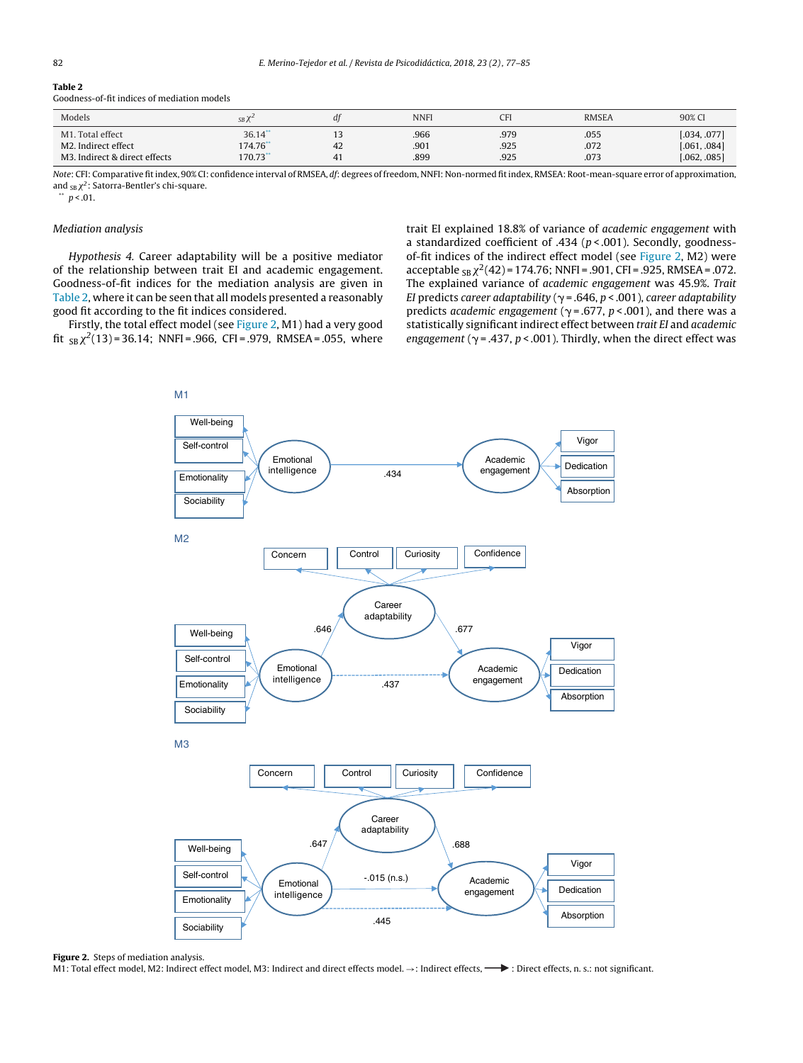#### <span id="page-5-0"></span>**Table 2** Goodness-of-fit indices of mediation models

| Models                                                                   | SBX                                      | dt       | <b>NNFI</b>          |                      | <b>RMSEA</b>         | 90% CI                                       |
|--------------------------------------------------------------------------|------------------------------------------|----------|----------------------|----------------------|----------------------|----------------------------------------------|
| M1. Total effect<br>M2. Indirect effect<br>M3. Indirect & direct effects | $36.14$ <sup>*</sup><br>174.76<br>170.73 | 42<br>41 | .966<br>.901<br>.899 | .979<br>.925<br>.925 | .055<br>.072<br>.073 | [.034, .077]<br>[.061, .084]<br>[.062, .085] |

Note: CFI: Comparative fitindex, 90% CI: confidence interval of RMSEA, df: degrees of freedom, NNFI: Non-normed fitindex, RMSEA: Root-mean-square error of approximation, and  $_{\text{SB}}$   $\chi^2$  : Satorra-Bentler's chi-square.

 $p < .01$ .

#### Mediation analysis

Hypothesis 4. Career adaptability will be a positive mediator of the relationship between trait EI and academic engagement. Goodness-of-fit indices for the mediation analysis are given in Table 2, where it can be seen that all models presented a reasonably good fit according to the fit indices considered.

Firstly, the total effect model (see Figure 2, M1) had a very good fit <sub>SB</sub> $\chi^2(13)$ =36.14; NNFI=.966, CFI=.979, RMSEA=.055, where

trait EI explained 18.8% of variance of academic engagement with a standardized coefficient of .434 ( $p$  < .001). Secondly, goodnessof-fit indices of the indirect effect model (see Figure 2, M2) were acceptable <sub>SB</sub> $\chi^2(42)$  = 174.76; NNFI = .901, CFI = .925, RMSEA = .072. The explained variance of academic engagement was 45.9%. Trait EI predicts career adaptability ( $\gamma$  = .646, p < .001), career adaptability predicts academic engagement ( $\gamma$  = .677, p < .001), and there was a statistically significant indirect effect between trait EI and academic engagement ( $\gamma$  = .437, p < .001). Thirdly, when the direct effect was



**Figure 2.** Steps of mediation analysis.

M1: Total effect model, M2: Indirect effect model, M3: Indirect and direct effects model. →: Indirect effects, → : Direct effects, n. s.: not significant.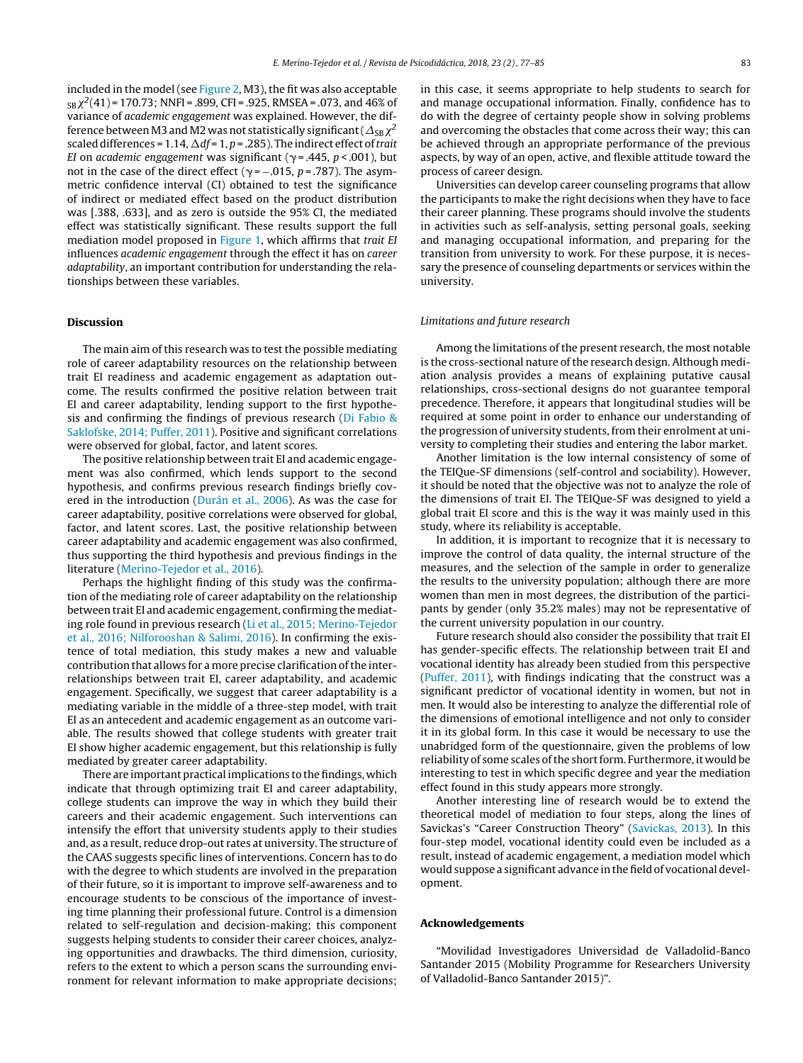included in the model (see [Figure](#page-5-0) 2, M3), the fit was also acceptable  $_{\text{SB}}\chi^2(41)$  = 170.73; NNFI = .899, CFI = .925, RMSEA = .073, and 46% of variance of academic engagement was explained. However, the difference between M3 and M2 was not statistically significant (  $\rm \Delta_{SB}\chi^2$ scaled differences = 1.14,  $\Delta df = 1$ , p = .285). The indirect effect of trait EI on academic engagement was significant ( $\gamma$  = .445, p < .001), but not in the case of the direct effect ( $\gamma$  = -.015, p = .787). The asymmetric confidence interval (CI) obtained to test the significance of indirect or mediated effect based on the product distribution was [.388, .633], and as zero is outside the 95% CI, the mediated effect was statistically significant. These results support the full mediation model proposed in [Figure](#page-2-0) 1, which affirms that trait EI influences academic engagement through the effect it has on career adaptability, an important contribution for understanding the relationships between these variables.

#### **Discussion**

The main aim of this research was to test the possible mediating role of career adaptability resources on the relationship between trait EI readiness and academic engagement as adaptation outcome. The results confirmed the positive relation between trait EI and career adaptability, lending support to the first hypothesis and confirming the findings of previous research (Di Fabio & Saklofske, 2014; Puffer, 2011). Positive and significant correlations were observed for global, factor, and latent scores.

The positive relationship between trait EI and academic engagement was also confirmed, which lends support to the second hypothesis, and confirms previous research findings briefly covered in the introduction ([Durán](#page-7-0) et al., 2006). As was the case for career adaptability, positive correlations were observed for global, factor, and latent scores. Last, the positive relationship between career adaptability and academic engagement was also confirmed, thus supporting the third hypothesis and previous findings in the literature ([Merino-Tejedor](#page-7-0) et al., 2016).

Perhaps the highlight finding of this study was the confirmation of the mediating role of career adaptability on the relationship between trait EI and academic engagement, confirming the mediating role found in previous research (Li et al., 2015; [Merino-Tejedor](#page-7-0) et al., 2016; Nilforooshan & Salimi, 2016). In confirming the existence of total mediation, this study makes a new and valuable contribution that allows for a more precise clarification ofthe interrelationships between trait EI, career adaptability, and academic engagement. Specifically, we suggest that career adaptability is a mediating variable in the middle of a three-step model, with trait EI as an antecedent and academic engagement as an outcome variable. The results showed that college students with greater trait EI show higher academic engagement, but this relationship is fully mediated by greater career adaptability.

There are important practical implications to the findings, which indicate that through optimizing trait EI and career adaptability, college students can improve the way in which they build their careers and their academic engagement. Such interventions can intensify the effort that university students apply to their studies and, as a result, reduce drop-out rates at university. The structure of the CAAS suggests specific lines of interventions. Concern has to do with the degree to which students are involved in the preparation of their future, so it is important to improve self-awareness and to encourage students to be conscious of the importance of investing time planning their professional future. Control is a dimension related to self-regulation and decision-making; this component suggests helping students to consider their career choices, analyzing opportunities and drawbacks. The third dimension, curiosity, refers to the extent to which a person scans the surrounding environment for relevant information to make appropriate decisions;

in this case, it seems appropriate to help students to search for and manage occupational information. Finally, confidence has to do with the degree of certainty people show in solving problems and overcoming the obstacles that come across their way; this can be achieved through an appropriate performance of the previous aspects, by way of an open, active, and flexible attitude toward the process of career design.

Universities can develop career counseling programs that allow the participants to make the right decisions when they have to face their career planning. These programs should involve the students in activities such as self-analysis, setting personal goals, seeking and managing occupational information, and preparing for the transition from university to work. For these purpose, it is necessary the presence of counseling departments or services within the university.

#### Limitations and future research

Among the limitations of the present research, the most notable is the cross-sectional nature of the research design. Although mediation analysis provides a means of explaining putative causal relationships, cross-sectional designs do not guarantee temporal precedence. Therefore, it appears that longitudinal studies will be [required](#page-7-0) at some point in order to enhance our understanding of the progression of university students, from their enrolment at university to completing their studies and entering the labor market.

Another limitation is the low internal consistency of some of the TEIQue-SF dimensions (self-control and sociability). However, it should be noted that the objective was not to analyze the role of the dimensions of trait EI. The TEIQue-SF was designed to yield a global trait EI score and this is the way it was mainly used in this study, where its reliability is acceptable.

In addition, it is important to recognize that it is necessary to improve the control of data quality, the internal structure of the measures, and the selection of the sample in order to generalize the results to the university population; although there are more women than men in most degrees, the distribution of the participants by gender (only 35.2% males) may not be representative of the current university population in our country.

Future research should also consider the possibility that trait EI has gender-specific effects. The relationship between trait EI and vocational identity has already been studied from this perspective [\(Puffer,](#page-7-0) 2011), with findings indicating that the construct was a significant predictor of vocational identity in women, but not in men. It would also be interesting to analyze the differential role of the dimensions of emotional intelligence and not only to consider it in its global form. In this case it would be necessary to use the unabridged form of the questionnaire, given the problems of low reliability of some scales of the short form. Furthermore, it would be interesting to test in which specific degree and year the mediation effect found in this study appears more strongly.

Another interesting line of research would be to extend the theoretical model of mediation to four steps, along the lines of Savickas's "Career Construction Theory" ([Savickas,](#page-7-0) 2013). In this four-step model, vocational identity could even be included as a result, instead of academic engagement, a mediation model which would suppose a significant advance in the field of vocational development.

#### **Acknowledgements**

"Movilidad Investigadores Universidad de Valladolid-Banco Santander 2015 (Mobility Programme for Researchers University of Valladolid-Banco Santander 2015)".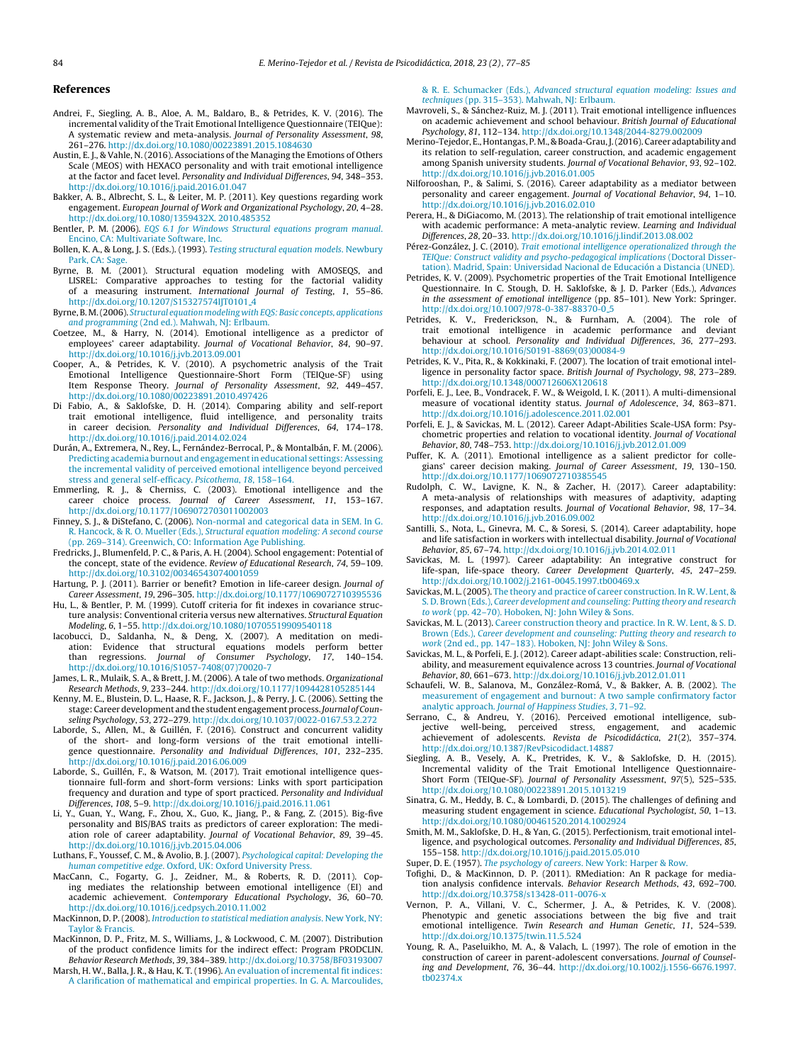#### <span id="page-7-0"></span>**References**

- Andrei, F., Siegling, A. B., Aloe, A. M., Baldaro, B., & Petrides, K. V. (2016). The incremental validity of the Trait Emotional Intelligence Questionnaire (TEIQue): A systematic review and meta-analysis. Journal of Personality Assessment, 98, 261–276. [http://dx.doi.org/10.1080/00223891.2015.1084630](dx.doi.org/10.1080/00223891.2015.1084630)
- Austin, E. J., & Vahle, N. (2016). Associations of the Managing the Emotions of Others Scale (MEOS) with HEXACO personality and with trait emotional intelligence at the factor and facet level. Personality and Individual Differences, 94, 348–353. [http://dx.doi.org/10.1016/j.paid.2016.01.047](dx.doi.org/10.1016/j.paid.2016.01.047)
- Bakker, A. B., Albrecht, S. L., & Leiter, M. P. (2011). Key questions regarding work engagement. European Journal of Work and Organizational Psychology, 20, 4–28. [http://dx.doi.org/10.1080/1359432X.](dx.doi.org/10.1080/1359432X. 2010.485352) 2010.485352
- Bentler, P. M. (2006). [EQS](http://refhub.elsevier.com/S2530-3805(17)30035-7/sbref0020) [6.1](http://refhub.elsevier.com/S2530-3805(17)30035-7/sbref0020) [for](http://refhub.elsevier.com/S2530-3805(17)30035-7/sbref0020) [Windows](http://refhub.elsevier.com/S2530-3805(17)30035-7/sbref0020) [Structural](http://refhub.elsevier.com/S2530-3805(17)30035-7/sbref0020) [equations](http://refhub.elsevier.com/S2530-3805(17)30035-7/sbref0020) [program](http://refhub.elsevier.com/S2530-3805(17)30035-7/sbref0020) [manual](http://refhub.elsevier.com/S2530-3805(17)30035-7/sbref0020)[.](http://refhub.elsevier.com/S2530-3805(17)30035-7/sbref0020) [Encino,](http://refhub.elsevier.com/S2530-3805(17)30035-7/sbref0020) [CA:](http://refhub.elsevier.com/S2530-3805(17)30035-7/sbref0020) [Multivariate](http://refhub.elsevier.com/S2530-3805(17)30035-7/sbref0020) [Software,](http://refhub.elsevier.com/S2530-3805(17)30035-7/sbref0020) [Inc.](http://refhub.elsevier.com/S2530-3805(17)30035-7/sbref0020)
- Bollen, K. A., & Long, J. S. (Eds.). (1993). [Testing](http://refhub.elsevier.com/S2530-3805(17)30035-7/sbref0025) [structural](http://refhub.elsevier.com/S2530-3805(17)30035-7/sbref0025) [equation](http://refhub.elsevier.com/S2530-3805(17)30035-7/sbref0025) [models](http://refhub.elsevier.com/S2530-3805(17)30035-7/sbref0025)[.](http://refhub.elsevier.com/S2530-3805(17)30035-7/sbref0025) [Newbury](http://refhub.elsevier.com/S2530-3805(17)30035-7/sbref0025) [Park,](http://refhub.elsevier.com/S2530-3805(17)30035-7/sbref0025) [CA:](http://refhub.elsevier.com/S2530-3805(17)30035-7/sbref0025) [Sage.](http://refhub.elsevier.com/S2530-3805(17)30035-7/sbref0025)
- Byrne, B. M. (2001). Structural equation modeling with AMOSEQS, and LISREL: Comparative approaches to testing for the factorial validity of a measuring instrument. International Journal of Testing, 1, 55–86. [http://dx.doi.org/10.1207/S15327574IJT0101](dx.doi.org/10.1207/S15327574IJT0101_4) 4
- Byrne, B.M.(2006). [Structural](http://refhub.elsevier.com/S2530-3805(17)30035-7/sbref0035) [equation](http://refhub.elsevier.com/S2530-3805(17)30035-7/sbref0035) [modeling](http://refhub.elsevier.com/S2530-3805(17)30035-7/sbref0035) [with](http://refhub.elsevier.com/S2530-3805(17)30035-7/sbref0035) [EQS:](http://refhub.elsevier.com/S2530-3805(17)30035-7/sbref0035) [Basic](http://refhub.elsevier.com/S2530-3805(17)30035-7/sbref0035) [concepts,](http://refhub.elsevier.com/S2530-3805(17)30035-7/sbref0035) [applications](http://refhub.elsevier.com/S2530-3805(17)30035-7/sbref0035) [and](http://refhub.elsevier.com/S2530-3805(17)30035-7/sbref0035) [programming](http://refhub.elsevier.com/S2530-3805(17)30035-7/sbref0035) [\(2nd](http://refhub.elsevier.com/S2530-3805(17)30035-7/sbref0035) [ed.\).](http://refhub.elsevier.com/S2530-3805(17)30035-7/sbref0035) [Mahwah,](http://refhub.elsevier.com/S2530-3805(17)30035-7/sbref0035) [NJ:](http://refhub.elsevier.com/S2530-3805(17)30035-7/sbref0035) [Erlbaum.](http://refhub.elsevier.com/S2530-3805(17)30035-7/sbref0035)
- Coetzee, M., & Harry, N. (2014). Emotional intelligence as a predictor of employees' career adaptability. Journal of Vocational Behavior, 84, 90–97. [http://dx.doi.org/10.1016/j.jvb.2013.09.001](dx.doi.org/10.1016/j.jvb.2013.09.001)
- Cooper, A., & Petrides, K. V. (2010). A psychometric analysis of the Trait Emotional Intelligence Questionnaire-Short Form (TEIQue-SF) using Item Response Theory. Journal of Personality Assessment, 92, 449–457. [http://dx.doi.org/10.1080/00223891.2010.497426](dx.doi.org/10.1080/00223891.2010.497426)
- Di Fabio, A., & Saklofske, D. H. (2014). Comparing ability and self-report trait emotional intelligence, fluid intelligence, and personality traits in career decision. Personality and Individual Differences, 64, 174–178. [http://dx.doi.org/10.1016/j.paid.2014.02.024](dx.doi.org/10.1016/j.paid.2014.02.024)
- Durán, A., Extremera, N., Rey, L., Fernández-Berrocal, P., & Montalbán, F. M. (2006). [Predicting](http://refhub.elsevier.com/S2530-3805(17)30035-7/sbref0055) [academia](http://refhub.elsevier.com/S2530-3805(17)30035-7/sbref0055) [burnout](http://refhub.elsevier.com/S2530-3805(17)30035-7/sbref0055) [and](http://refhub.elsevier.com/S2530-3805(17)30035-7/sbref0055) engagement in [educational](http://refhub.elsevier.com/S2530-3805(17)30035-7/sbref0055) settings: Assessing [the](http://refhub.elsevier.com/S2530-3805(17)30035-7/sbref0055) [incremental](http://refhub.elsevier.com/S2530-3805(17)30035-7/sbref0055) [validity](http://refhub.elsevier.com/S2530-3805(17)30035-7/sbref0055) [of](http://refhub.elsevier.com/S2530-3805(17)30035-7/sbref0055) [perceived](http://refhub.elsevier.com/S2530-3805(17)30035-7/sbref0055) [emotional](http://refhub.elsevier.com/S2530-3805(17)30035-7/sbref0055) [intelligence](http://refhub.elsevier.com/S2530-3805(17)30035-7/sbref0055) [beyond](http://refhub.elsevier.com/S2530-3805(17)30035-7/sbref0055) [perceived](http://refhub.elsevier.com/S2530-3805(17)30035-7/sbref0055)
- [stress](http://refhub.elsevier.com/S2530-3805(17)30035-7/sbref0055) [and](http://refhub.elsevier.com/S2530-3805(17)30035-7/sbref0055) [general](http://refhub.elsevier.com/S2530-3805(17)30035-7/sbref0055) [self-efficacy.](http://refhub.elsevier.com/S2530-3805(17)30035-7/sbref0055) [Psicothema](http://refhub.elsevier.com/S2530-3805(17)30035-7/sbref0055)[,](http://refhub.elsevier.com/S2530-3805(17)30035-7/sbref0055) [18](http://refhub.elsevier.com/S2530-3805(17)30035-7/sbref0055)[,](http://refhub.elsevier.com/S2530-3805(17)30035-7/sbref0055) [158](http://refhub.elsevier.com/S2530-3805(17)30035-7/sbref0055)–[164.](http://refhub.elsevier.com/S2530-3805(17)30035-7/sbref0055) Emmerling, R. J., & Cherniss, C. (2003). Emotional intelligence and the career choice process. Journal of Career Assessment, 11, 153–167. [http://dx.doi.org/10.1177/1069072703011002003](dx.doi.org/10.1177/1069072703011002003)
- Finney, S. J., & DiStefano, C. (2006). [Non-normal](http://refhub.elsevier.com/S2530-3805(17)30035-7/sbref0065) [and](http://refhub.elsevier.com/S2530-3805(17)30035-7/sbref0065) [categorical](http://refhub.elsevier.com/S2530-3805(17)30035-7/sbref0065) [data](http://refhub.elsevier.com/S2530-3805(17)30035-7/sbref0065) [in](http://refhub.elsevier.com/S2530-3805(17)30035-7/sbref0065) [SEM.](http://refhub.elsevier.com/S2530-3805(17)30035-7/sbref0065) [In](http://refhub.elsevier.com/S2530-3805(17)30035-7/sbref0065) [G.](http://refhub.elsevier.com/S2530-3805(17)30035-7/sbref0065) [R.](http://refhub.elsevier.com/S2530-3805(17)30035-7/sbref0065) [Hancock,](http://refhub.elsevier.com/S2530-3805(17)30035-7/sbref0065) [&](http://refhub.elsevier.com/S2530-3805(17)30035-7/sbref0065) [R.](http://refhub.elsevier.com/S2530-3805(17)30035-7/sbref0065) [O.](http://refhub.elsevier.com/S2530-3805(17)30035-7/sbref0065) [Mueller](http://refhub.elsevier.com/S2530-3805(17)30035-7/sbref0065) [\(Eds.\),](http://refhub.elsevier.com/S2530-3805(17)30035-7/sbref0065) [Structural](http://refhub.elsevier.com/S2530-3805(17)30035-7/sbref0065) [equation](http://refhub.elsevier.com/S2530-3805(17)30035-7/sbref0065) [modeling:](http://refhub.elsevier.com/S2530-3805(17)30035-7/sbref0065) [A](http://refhub.elsevier.com/S2530-3805(17)30035-7/sbref0065) [second](http://refhub.elsevier.com/S2530-3805(17)30035-7/sbref0065) [course](http://refhub.elsevier.com/S2530-3805(17)30035-7/sbref0065) [\(pp.](http://refhub.elsevier.com/S2530-3805(17)30035-7/sbref0065) [269–314\).](http://refhub.elsevier.com/S2530-3805(17)30035-7/sbref0065) [Greenwich,](http://refhub.elsevier.com/S2530-3805(17)30035-7/sbref0065) [CO:](http://refhub.elsevier.com/S2530-3805(17)30035-7/sbref0065) [Information](http://refhub.elsevier.com/S2530-3805(17)30035-7/sbref0065) [Age](http://refhub.elsevier.com/S2530-3805(17)30035-7/sbref0065) [Publishing.](http://refhub.elsevier.com/S2530-3805(17)30035-7/sbref0065)
- Fredricks, J., Blumenfeld, P. C., & Paris, A. H. (2004). School engagement: Potential of the concept, state of the evidence. Review of Educational Research, 74, 59–109. [http://dx.doi.org/10.3102/00346543074001059](dx.doi.org/10.3102/00346543074001059)
- Hartung, P. J. (2011). Barrier or benefit? Emotion in life-career design. Journal of Career Assessment, 19, 296–305. [http://dx.doi.org/10.1177/1069072710395536](dx.doi.org/10.1177/1069072710395536)
- Hu, L., & Bentler, P. M. (1999). Cutoff criteria for fit indexes in covariance structure analysis: Conventional criteria versus new alternatives. Structural Equation
- Modeling, 6, 1–55. [http://dx.doi.org/10.1080/10705519909540118](dx.doi.org/10.1080/10705519909540118) Iacobucci, D., Saldanha, N., & Deng, X. (2007). A meditation on medi-ation: Evidence that structural equations models perform better than regressions. Journal of Consumer Psychology, 17, 140–154. [http://dx.doi.org/10.1016/S1057-7408\(07\)70020-7](dx.doi.org/10.1016/S1057-7408(07)70020-7)
- James, L. R., Mulaik, S. A., & Brett, J. M. (2006). A tale of two methods. Organizational Research Methods, 9, 233–244. [http://dx.doi.org/10.1177/1094428105285144](dx.doi.org/10.1177/1094428105285144)
- Kenny, M. E., Blustein, D. L., Haase, R. F., Jackson, J., & Perry, J. C. (2006). Setting the stage: Career development and the student engagement process. Journal of Counseling Psychology, 53, 272–279. [http://dx.doi.org/10.1037/0022-0167.53.2.272](dx.doi.org/10.1037/0022-0167.53.2.272)
- Laborde, S., Allen, M., & Guillén, F. (2016). Construct and concurrent validity of the short- and long-form versions of the trait emotional intelli-gence questionnaire. Personality and Individual Differences, 101, 232–235. [http://dx.doi.org/10.1016/j.paid.2016.06.009](dx.doi.org/10.1016/j.paid.2016.06.009)
- Laborde, S., Guillén, F., & Watson, M. (2017). Trait emotional intelligence questionnaire full-form and short-form versions: Links with sport participation frequency and duration and type of sport practiced. Personality and Individual Differences, 108, 5–9. [http://dx.doi.org/10.1016/j.paid.2016.11.061](dx.doi.org/10.1016/j.paid.2016.11.061)
- Li, Y., Guan, Y., Wang, F., Zhou, X., Guo, K., Jiang, P., & Fang, Z. (2015). Big-five personality and BIS/BAS traits as predictors of career exploration: The mediation role of career adaptability. Journal of Vocational Behavior, 89, 39–45. [http://dx.doi.org/10.1016/j.jvb.2015.04.006](dx.doi.org/10.1016/j.jvb.2015.04.006)
- Luthans, F., Youssef, C. M., & Avolio, B. J. (2007). [Psychological](http://refhub.elsevier.com/S2530-3805(17)30035-7/sbref0115) [capital:](http://refhub.elsevier.com/S2530-3805(17)30035-7/sbref0115) [Developing](http://refhub.elsevier.com/S2530-3805(17)30035-7/sbref0115) [the](http://refhub.elsevier.com/S2530-3805(17)30035-7/sbref0115) [human](http://refhub.elsevier.com/S2530-3805(17)30035-7/sbref0115) [competitive](http://refhub.elsevier.com/S2530-3805(17)30035-7/sbref0115) [edge](http://refhub.elsevier.com/S2530-3805(17)30035-7/sbref0115)[.](http://refhub.elsevier.com/S2530-3805(17)30035-7/sbref0115) [Oxford,](http://refhub.elsevier.com/S2530-3805(17)30035-7/sbref0115) [UK:](http://refhub.elsevier.com/S2530-3805(17)30035-7/sbref0115) [Oxford](http://refhub.elsevier.com/S2530-3805(17)30035-7/sbref0115) [University](http://refhub.elsevier.com/S2530-3805(17)30035-7/sbref0115) [Press.](http://refhub.elsevier.com/S2530-3805(17)30035-7/sbref0115)
- MacCann, C., Fogarty, G. J., Zeidner, M., & Roberts, R. D. (2011). Coping mediates the relationship between emotional intelligence (EI) and academic achievement. Contemporary Educational Psychology, 36, 60–70. [http://dx.doi.org/10.1016/j.cedpsych.2010.11.002](dx.doi.org/10.1016/j.cedpsych.2010.11.002)
- MacKinnon, D. P. (2008). [Introduction](http://refhub.elsevier.com/S2530-3805(17)30035-7/sbref0125) [to](http://refhub.elsevier.com/S2530-3805(17)30035-7/sbref0125) [statistical](http://refhub.elsevier.com/S2530-3805(17)30035-7/sbref0125) [mediation](http://refhub.elsevier.com/S2530-3805(17)30035-7/sbref0125) [analysis](http://refhub.elsevier.com/S2530-3805(17)30035-7/sbref0125)[.](http://refhub.elsevier.com/S2530-3805(17)30035-7/sbref0125) [New](http://refhub.elsevier.com/S2530-3805(17)30035-7/sbref0125) [York,](http://refhub.elsevier.com/S2530-3805(17)30035-7/sbref0125) [NY:](http://refhub.elsevier.com/S2530-3805(17)30035-7/sbref0125) [Taylor](http://refhub.elsevier.com/S2530-3805(17)30035-7/sbref0125) [&](http://refhub.elsevier.com/S2530-3805(17)30035-7/sbref0125) [Francis.](http://refhub.elsevier.com/S2530-3805(17)30035-7/sbref0125)
- MacKinnon, D. P., Fritz, M. S., Williams, J., & Lockwood, C. M. (2007). Distribution of the product confidence limits for the indirect effect: Program PRODCLIN. Behavior Research Methods, 39, 384–389. [http://dx.doi.org/10.3758/BF03193007](dx.doi.org/10.3758/BF03193007)
- Marsh, H. W., Balla, J. R., & Hau, K. T. (1996). [An](http://refhub.elsevier.com/S2530-3805(17)30035-7/sbref0135) [evaluation](http://refhub.elsevier.com/S2530-3805(17)30035-7/sbref0135) [of](http://refhub.elsevier.com/S2530-3805(17)30035-7/sbref0135) [incremental](http://refhub.elsevier.com/S2530-3805(17)30035-7/sbref0135) [fit](http://refhub.elsevier.com/S2530-3805(17)30035-7/sbref0135) [indices:](http://refhub.elsevier.com/S2530-3805(17)30035-7/sbref0135) [A](http://refhub.elsevier.com/S2530-3805(17)30035-7/sbref0135) [clarification](http://refhub.elsevier.com/S2530-3805(17)30035-7/sbref0135) [of](http://refhub.elsevier.com/S2530-3805(17)30035-7/sbref0135) [mathematical](http://refhub.elsevier.com/S2530-3805(17)30035-7/sbref0135) [and](http://refhub.elsevier.com/S2530-3805(17)30035-7/sbref0135) [empirical](http://refhub.elsevier.com/S2530-3805(17)30035-7/sbref0135) [properties.](http://refhub.elsevier.com/S2530-3805(17)30035-7/sbref0135) [In](http://refhub.elsevier.com/S2530-3805(17)30035-7/sbref0135) [G.](http://refhub.elsevier.com/S2530-3805(17)30035-7/sbref0135) [A.](http://refhub.elsevier.com/S2530-3805(17)30035-7/sbref0135) [Marcoulides,](http://refhub.elsevier.com/S2530-3805(17)30035-7/sbref0135)

[&](http://refhub.elsevier.com/S2530-3805(17)30035-7/sbref0135) [R.](http://refhub.elsevier.com/S2530-3805(17)30035-7/sbref0135) [E.](http://refhub.elsevier.com/S2530-3805(17)30035-7/sbref0135) [Schumacker](http://refhub.elsevier.com/S2530-3805(17)30035-7/sbref0135) [\(Eds.\),](http://refhub.elsevier.com/S2530-3805(17)30035-7/sbref0135) [Advanced](http://refhub.elsevier.com/S2530-3805(17)30035-7/sbref0135) [structural](http://refhub.elsevier.com/S2530-3805(17)30035-7/sbref0135) [equation](http://refhub.elsevier.com/S2530-3805(17)30035-7/sbref0135) [modeling:](http://refhub.elsevier.com/S2530-3805(17)30035-7/sbref0135) [Issues](http://refhub.elsevier.com/S2530-3805(17)30035-7/sbref0135) [and](http://refhub.elsevier.com/S2530-3805(17)30035-7/sbref0135) [techniques](http://refhub.elsevier.com/S2530-3805(17)30035-7/sbref0135) [\(pp.](http://refhub.elsevier.com/S2530-3805(17)30035-7/sbref0135) 315-353). [Mahwah,](http://refhub.elsevier.com/S2530-3805(17)30035-7/sbref0135) [NJ:](http://refhub.elsevier.com/S2530-3805(17)30035-7/sbref0135) [Erlbaum.](http://refhub.elsevier.com/S2530-3805(17)30035-7/sbref0135)

- Mavroveli, S., & Sánchez-Ruiz, M. J. (2011). Trait emotional intelligence influences on academic achievement and school behaviour. British Journal of Educational Psychology, 81, 112–134. [http://dx.doi.org/10.1348/2044-8279.002009](dx.doi.org/10.1348/2044-8279.002009)
- Merino-Tejedor, E., Hontangas, P.M., & Boada-Grau, J. (2016). Career adaptability and its relation to self-regulation, career construction, and academic engagement among Spanish university students. Journal of Vocational Behavior, 93, 92–102. [http://dx.doi.org/10.1016/j.jvb.2016.01.005](dx.doi.org/10.1016/j.jvb.2016.01.005)
- Nilforooshan, P., & Salimi, S. (2016). Career adaptability as a mediator between personality and career engagement. Journal of Vocational Behavior, 94, 1–10. [http://dx.doi.org/10.1016/j.jvb.2016.02.010](dx.doi.org/10.1016/j.jvb.2016.02.010)
- Perera, H., & DiGiacomo, M. (2013). The relationship of trait emotional intelligence with academic performance: A meta-analytic review. Learning and Individual Differences, 28, 20–33. [http://dx.doi.org/10.1016/j.lindif.2013.08.002](dx.doi.org/10.1016/j.lindif.2013.08.002)
- Pérez-González, J. C. (2010).  $\hat{T}$ rait [emotional](http://refhub.elsevier.com/S2530-3805(17)30035-7/sbref0160) [intelligence](http://refhub.elsevier.com/S2530-3805(17)30035-7/sbref0160) [operationalized](http://refhub.elsevier.com/S2530-3805(17)30035-7/sbref0160) [through](http://refhub.elsevier.com/S2530-3805(17)30035-7/sbref0160) [the](http://refhub.elsevier.com/S2530-3805(17)30035-7/sbref0160) [TEIQue:](http://refhub.elsevier.com/S2530-3805(17)30035-7/sbref0160) [Construct](http://refhub.elsevier.com/S2530-3805(17)30035-7/sbref0160) [validity](http://refhub.elsevier.com/S2530-3805(17)30035-7/sbref0160) [and](http://refhub.elsevier.com/S2530-3805(17)30035-7/sbref0160) [psycho-pedagogical](http://refhub.elsevier.com/S2530-3805(17)30035-7/sbref0160) [implications](http://refhub.elsevier.com/S2530-3805(17)30035-7/sbref0160) [\(Doctoral](http://refhub.elsevier.com/S2530-3805(17)30035-7/sbref0160) [Disser](http://refhub.elsevier.com/S2530-3805(17)30035-7/sbref0160)[tation\).](http://refhub.elsevier.com/S2530-3805(17)30035-7/sbref0160) [Madrid,](http://refhub.elsevier.com/S2530-3805(17)30035-7/sbref0160) [Spain:](http://refhub.elsevier.com/S2530-3805(17)30035-7/sbref0160) [Universidad](http://refhub.elsevier.com/S2530-3805(17)30035-7/sbref0160) [Nacional](http://refhub.elsevier.com/S2530-3805(17)30035-7/sbref0160) [de](http://refhub.elsevier.com/S2530-3805(17)30035-7/sbref0160) [Educación](http://refhub.elsevier.com/S2530-3805(17)30035-7/sbref0160) [a](http://refhub.elsevier.com/S2530-3805(17)30035-7/sbref0160) [Distancia](http://refhub.elsevier.com/S2530-3805(17)30035-7/sbref0160) [\(UNED\).](http://refhub.elsevier.com/S2530-3805(17)30035-7/sbref0160)
- Petrides, K. V. (2009). Psychometric properties of the Trait Emotional Intelligence Questionnaire. In C. Stough, D. H. Saklofske, & J. D. Parker (Eds.), Advances in the assessment of emotional intelligence (pp. 85–101). New York: Springer. [http://dx.doi.org/10.1007/978-0-387-88370-0](dx.doi.org/10.1007/978-0-387-88370-0_5) 5
- Petrides, K. V., Frederickson, N., & Furnham, A. (2004). The role of trait emotional intelligence in academic performance and deviant behaviour at school. Personality and Individual Differences, 36, 277–293. [http://dx.doi.org/10.1016/S0191-8869\(03\)00084-9](dx.doi.org/10.1016/S0191-8869(03)00084-9)
- Petrides, K. V., Pita, R., & Kokkinaki, F. (2007). The location of trait emotional intelligence in personality factor space. British Journal of Psychology, 98, 273–289. [http://dx.doi.org/10.1348/000712606X120618](dx.doi.org/10.1348/000712606X120618)
- Porfeli, E. J., Lee, B., Vondracek, F. W., & Weigold, I. K. (2011). A multi-dimensional measure of vocational identity status. Journal of Adolescence, 34, 863–871. [http://dx.doi.org/10.1016/j.adolescence.2011.02.001](dx.doi.org/10.1016/j.adolescence.2011.02.001)
- Porfeli, E. J., & Savickas, M. L. (2012). Career Adapt-Abilities Scale-USA form: Psychometric properties and relation to vocational identity. Journal of Vocational Behavior, 80, 748–753. [http://dx.doi.org/10.1016/j.jvb.2012.01.009](dx.doi.org/10.1016/j.jvb.2012.01.009)
- Puffer, K. A. (2011). Emotional intelligence as a salient predictor for collegians' career decision making. Journal of Career Assessment, 19, 130–150. [http://dx.doi.org/10.1177/1069072710385545](dx.doi.org/10.1177/1069072710385545)
- Rudolph, C. W., Lavigne, K. N., & Zacher, H. (2017). Career adaptability: A meta-analysis of relationships with measures of adaptivity, adapting responses, and adaptation results. Journal of Vocational Behavior, 98, 17–34. [http://dx.doi.org/10.1016/j.jvb.2016.09.002](dx.doi.org/10.1016/j.jvb.2016.09.002)
- Santilli, S., Nota, L., Ginevra, M. C., & Soresi, S. (2014). Career adaptability, hope and life satisfaction in workers with intellectual disability. Journal of Vocational Behavior, 85, 67–74. [http://dx.doi.org/10.1016/j.jvb.2014.02.011](dx.doi.org/10.1016/j.jvb.2014.02.011)
- Savickas, M. L. (1997). Career adaptability: An integrative construct for life-span, life-space theory. Career Development Quarterly, 45, 247–259. [http://dx.doi.org/10.1002/j.2161-0045.1997.tb00469.x](dx.doi.org/10.1002/j.2161-0045.1997.tb00469.x)
- Savickas, M. L.(2005). [The](http://refhub.elsevier.com/S2530-3805(17)30035-7/sbref0210) [theory](http://refhub.elsevier.com/S2530-3805(17)30035-7/sbref0210) [and](http://refhub.elsevier.com/S2530-3805(17)30035-7/sbref0210) [practice](http://refhub.elsevier.com/S2530-3805(17)30035-7/sbref0210) [of](http://refhub.elsevier.com/S2530-3805(17)30035-7/sbref0210) [career](http://refhub.elsevier.com/S2530-3805(17)30035-7/sbref0210) [construction.](http://refhub.elsevier.com/S2530-3805(17)30035-7/sbref0210) [In](http://refhub.elsevier.com/S2530-3805(17)30035-7/sbref0210) [R.](http://refhub.elsevier.com/S2530-3805(17)30035-7/sbref0210) [W.](http://refhub.elsevier.com/S2530-3805(17)30035-7/sbref0210) [Lent,](http://refhub.elsevier.com/S2530-3805(17)30035-7/sbref0210) [&](http://refhub.elsevier.com/S2530-3805(17)30035-7/sbref0210) [S.](http://refhub.elsevier.com/S2530-3805(17)30035-7/sbref0210) [D.](http://refhub.elsevier.com/S2530-3805(17)30035-7/sbref0210) [Brown](http://refhub.elsevier.com/S2530-3805(17)30035-7/sbref0210) [\(Eds.\),](http://refhub.elsevier.com/S2530-3805(17)30035-7/sbref0210) [Career](http://refhub.elsevier.com/S2530-3805(17)30035-7/sbref0210) [development](http://refhub.elsevier.com/S2530-3805(17)30035-7/sbref0210) [and](http://refhub.elsevier.com/S2530-3805(17)30035-7/sbref0210) [counseling:](http://refhub.elsevier.com/S2530-3805(17)30035-7/sbref0210) [Putting](http://refhub.elsevier.com/S2530-3805(17)30035-7/sbref0210) [theory](http://refhub.elsevier.com/S2530-3805(17)30035-7/sbref0210) [and](http://refhub.elsevier.com/S2530-3805(17)30035-7/sbref0210) [research](http://refhub.elsevier.com/S2530-3805(17)30035-7/sbref0210) [to](http://refhub.elsevier.com/S2530-3805(17)30035-7/sbref0210) [work](http://refhub.elsevier.com/S2530-3805(17)30035-7/sbref0210) [\(pp.](http://refhub.elsevier.com/S2530-3805(17)30035-7/sbref0210) [42–70\).](http://refhub.elsevier.com/S2530-3805(17)30035-7/sbref0210) [Hoboken,](http://refhub.elsevier.com/S2530-3805(17)30035-7/sbref0210) [NJ:](http://refhub.elsevier.com/S2530-3805(17)30035-7/sbref0210) [John](http://refhub.elsevier.com/S2530-3805(17)30035-7/sbref0210) [Wiley](http://refhub.elsevier.com/S2530-3805(17)30035-7/sbref0210) [&](http://refhub.elsevier.com/S2530-3805(17)30035-7/sbref0210) [Sons.](http://refhub.elsevier.com/S2530-3805(17)30035-7/sbref0210)
- Savickas, M. L. (2013). [Career](http://refhub.elsevier.com/S2530-3805(17)30035-7/sbref0215) [construction](http://refhub.elsevier.com/S2530-3805(17)30035-7/sbref0215) [theory](http://refhub.elsevier.com/S2530-3805(17)30035-7/sbref0215) [and](http://refhub.elsevier.com/S2530-3805(17)30035-7/sbref0215) [practice.](http://refhub.elsevier.com/S2530-3805(17)30035-7/sbref0215) [In](http://refhub.elsevier.com/S2530-3805(17)30035-7/sbref0215) [R.](http://refhub.elsevier.com/S2530-3805(17)30035-7/sbref0215) [W.](http://refhub.elsevier.com/S2530-3805(17)30035-7/sbref0215) [Lent,](http://refhub.elsevier.com/S2530-3805(17)30035-7/sbref0215) [&](http://refhub.elsevier.com/S2530-3805(17)30035-7/sbref0215) [S.](http://refhub.elsevier.com/S2530-3805(17)30035-7/sbref0215) [D.](http://refhub.elsevier.com/S2530-3805(17)30035-7/sbref0215) [Brown](http://refhub.elsevier.com/S2530-3805(17)30035-7/sbref0215) [\(Eds.\),](http://refhub.elsevier.com/S2530-3805(17)30035-7/sbref0215) [Career](http://refhub.elsevier.com/S2530-3805(17)30035-7/sbref0215) [development](http://refhub.elsevier.com/S2530-3805(17)30035-7/sbref0215) [and](http://refhub.elsevier.com/S2530-3805(17)30035-7/sbref0215) [counseling:](http://refhub.elsevier.com/S2530-3805(17)30035-7/sbref0215) [Putting](http://refhub.elsevier.com/S2530-3805(17)30035-7/sbref0215) [theory](http://refhub.elsevier.com/S2530-3805(17)30035-7/sbref0215) [and](http://refhub.elsevier.com/S2530-3805(17)30035-7/sbref0215) [research](http://refhub.elsevier.com/S2530-3805(17)30035-7/sbref0215) [to](http://refhub.elsevier.com/S2530-3805(17)30035-7/sbref0215) [work](http://refhub.elsevier.com/S2530-3805(17)30035-7/sbref0215) [\(2nd](http://refhub.elsevier.com/S2530-3805(17)30035-7/sbref0215) [ed.,](http://refhub.elsevier.com/S2530-3805(17)30035-7/sbref0215) [pp.](http://refhub.elsevier.com/S2530-3805(17)30035-7/sbref0215) [147–183\).](http://refhub.elsevier.com/S2530-3805(17)30035-7/sbref0215) [Hoboken,](http://refhub.elsevier.com/S2530-3805(17)30035-7/sbref0215) [NJ:](http://refhub.elsevier.com/S2530-3805(17)30035-7/sbref0215) [John](http://refhub.elsevier.com/S2530-3805(17)30035-7/sbref0215) [Wiley](http://refhub.elsevier.com/S2530-3805(17)30035-7/sbref0215) [&](http://refhub.elsevier.com/S2530-3805(17)30035-7/sbref0215) [Sons.](http://refhub.elsevier.com/S2530-3805(17)30035-7/sbref0215)
- Savickas, M. L., & Porfeli, E. J. (2012). Career adapt-abilities scale: Construction, reliability, and measurement equivalence across 13 countries. Journal of Vocational Behavior, 80, 661–673. [http://dx.doi.org/10.1016/j.jvb.2012.01.011](dx.doi.org/10.1016/j.jvb.2012.01.011)
- Schaufeli, W. B., Salanova, M., González-Romá, V., & Bakker, A. B. (2002). [The](http://refhub.elsevier.com/S2530-3805(17)30035-7/sbref0225) [measurement](http://refhub.elsevier.com/S2530-3805(17)30035-7/sbref0225) [of](http://refhub.elsevier.com/S2530-3805(17)30035-7/sbref0225) [engagement](http://refhub.elsevier.com/S2530-3805(17)30035-7/sbref0225) [and](http://refhub.elsevier.com/S2530-3805(17)30035-7/sbref0225) [burnout:](http://refhub.elsevier.com/S2530-3805(17)30035-7/sbref0225) [A](http://refhub.elsevier.com/S2530-3805(17)30035-7/sbref0225) [two](http://refhub.elsevier.com/S2530-3805(17)30035-7/sbref0225) [sample](http://refhub.elsevier.com/S2530-3805(17)30035-7/sbref0225) [confirmatory](http://refhub.elsevier.com/S2530-3805(17)30035-7/sbref0225) [factor](http://refhub.elsevier.com/S2530-3805(17)30035-7/sbref0225) [analytic](http://refhub.elsevier.com/S2530-3805(17)30035-7/sbref0225) [approach.](http://refhub.elsevier.com/S2530-3805(17)30035-7/sbref0225) [Journal](http://refhub.elsevier.com/S2530-3805(17)30035-7/sbref0225) [of](http://refhub.elsevier.com/S2530-3805(17)30035-7/sbref0225) [Happiness](http://refhub.elsevier.com/S2530-3805(17)30035-7/sbref0225) [Studies](http://refhub.elsevier.com/S2530-3805(17)30035-7/sbref0225)[,](http://refhub.elsevier.com/S2530-3805(17)30035-7/sbref0225) [3](http://refhub.elsevier.com/S2530-3805(17)30035-7/sbref0225), [71](http://refhub.elsevier.com/S2530-3805(17)30035-7/sbref0225)–[92.](http://refhub.elsevier.com/S2530-3805(17)30035-7/sbref0225)
- Serrano, C., & Andreu, Y. (2016). Perceived emotional intelligence, subjective well-being, perceived stress, engagement, and academic achievement of adolescents. Revista de Psicodidáctica, 21(2), 357–374. [http://dx.doi.org/10.1387/RevPsicodidact.14887](dx.doi.org/10.1387/RevPsicodidact.14887)
- Siegling, A. B., Vesely, A. K., Pretrides, K. V., & Saklofske, D. H. (2015). Incremental validity of the Trait Emotional Intelligence Questionnaire-Short Form (TEIQue-SF). Journal of Personality Assessment, 97(5), 525–535. [http://dx.doi.org/10.1080/00223891.2015.1013219](dx.doi.org/10.1080/00223891.2015.1013219)
- Sinatra, G. M., Heddy, B. C., & Lombardi, D. (2015). The challenges of defining and measuring student engagement in science. Educational Psychologist, 50, 1–13. [http://dx.doi.org/10.1080/00461520.2014.1002924](dx.doi.org/10.1080/00461520.2014.1002924)
- Smith, M. M., Saklofske, D. H., & Yan, G. (2015). Perfectionism, trait emotional intelligence, and psychological outcomes. Personality and Individual Differences, 85, 155–158. [http://dx.doi.org/10.1016/j.paid.2015.05.010](dx.doi.org/10.1016/j.paid.2015.05.010)
- Super, D. E. (1957). [The](http://refhub.elsevier.com/S2530-3805(17)30035-7/sbref0250) [psychology](http://refhub.elsevier.com/S2530-3805(17)30035-7/sbref0250) [of](http://refhub.elsevier.com/S2530-3805(17)30035-7/sbref0250) [careers](http://refhub.elsevier.com/S2530-3805(17)30035-7/sbref0250)[.](http://refhub.elsevier.com/S2530-3805(17)30035-7/sbref0250) [New](http://refhub.elsevier.com/S2530-3805(17)30035-7/sbref0250) [York:](http://refhub.elsevier.com/S2530-3805(17)30035-7/sbref0250) [Harper](http://refhub.elsevier.com/S2530-3805(17)30035-7/sbref0250) [&](http://refhub.elsevier.com/S2530-3805(17)30035-7/sbref0250) [Row.](http://refhub.elsevier.com/S2530-3805(17)30035-7/sbref0250)
- Tofighi, D., & MacKinnon, D. P. (2011). RMediation: An R package for mediation analysis confidence intervals. Behavior Research Methods, 43, 692–700. [http://dx.doi.org/10.3758/s13428-011-0076-x](dx.doi.org/10.3758/s13428-011-0076-x)
- Vernon, P. A., Villani, V. C., Schermer, J. A., & Petrides, K. V. (2008). Phenotypic and genetic associations between the big five and trait emotional intelligence. Twin Research and Human Genetic, 11, 524–539. [http://dx.doi.org/10.1375/twin.11.5.524](dx.doi.org/10.1375/twin.11.5.524)
- Young, R. A., Paseluikho, M. A., & Valach, L. (1997). The role of emotion in the construction of career in parent-adolescent conversations. Journal of Counseling and Development, 76, 36–44. [http://dx.doi.org/10.1002/j.1556-6676.1997.](dx.doi.org/10.1002/j.1556-6676.1997.tb02374.x) [tb02374.x](dx.doi.org/10.1002/j.1556-6676.1997.tb02374.x)